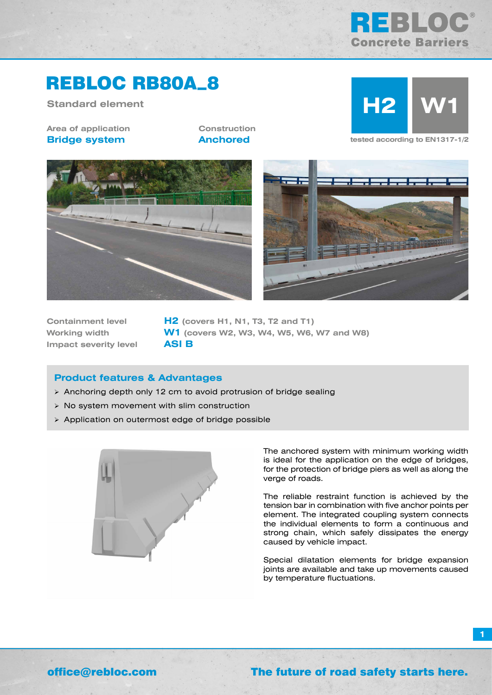# SING **Concrete Barriers**

## REBLOC RB80A\_8

**Standard element**

**Area of application Bridge system**

**Construction**



**Anchored tested according to EN1317-1/2**





**Impact severity level ASI B**

**Containment level H2 (covers H1, N1, T3, T2 and T1) Working width W1 (covers W2, W3, W4, W5, W6, W7 and W8)**

#### **Product features & Advantages**

- Anchoring depth only 12 cm to avoid protrusion of bridge sealing
- $\triangleright$  No system movement with slim construction
- Application on outermost edge of bridge possible



The anchored system with minimum working width is ideal for the application on the edge of bridges, for the protection of bridge piers as well as along the verge of roads.

The reliable restraint function is achieved by the tension bar in combination with five anchor points per element. The integrated coupling system connects the individual elements to form a continuous and strong chain, which safely dissipates the energy caused by vehicle impact.

Special dilatation elements for bridge expansion joints are available and take up movements caused by temperature fluctuations.

**1**